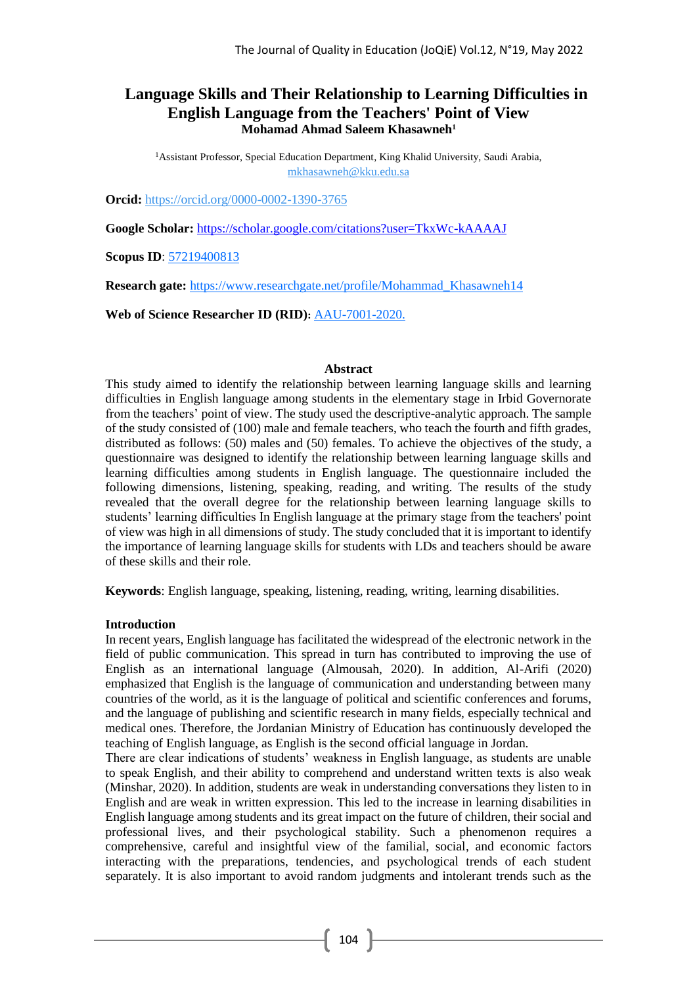# **Language Skills and Their Relationship to Learning Difficulties in English Language from the Teachers' Point of View Mohamad Ahmad Saleem Khasawneh<sup>1</sup>**

<sup>1</sup> Assistant Professor, Special Education Department, King Khalid University, Saudi Arabia, mkhasawneh@kku.edu.sa

**Orcid:** [https://orcid.org/0000-0002-1390-3765](https://orcid.org/0000-0002-1390-3765?lang=ar)

**Google Scholar:** <https://scholar.google.com/citations?user=TkxWc-kAAAAJ>

**Scopus ID**: 57219400813

**Research gate:** [https://www.researchgate.net/profile/Mohammad\\_Khasawneh14](https://www.researchgate.net/profile/Mohammad_Khasawneh14)

**Web of Science Researcher ID (RID):** AAU-7001-2020.

#### **Abstract**

This study aimed to identify the relationship between learning language skills and learning difficulties in English language among students in the elementary stage in Irbid Governorate from the teachers' point of view. The study used the descriptive-analytic approach. The sample of the study consisted of (100) male and female teachers, who teach the fourth and fifth grades, distributed as follows: (50) males and (50) females. To achieve the objectives of the study, a questionnaire was designed to identify the relationship between learning language skills and learning difficulties among students in English language. The questionnaire included the following dimensions, listening, speaking, reading, and writing. The results of the study revealed that the overall degree for the relationship between learning language skills to students' learning difficulties In English language at the primary stage from the teachers' point of view was high in all dimensions of study. The study concluded that it is important to identify the importance of learning language skills for students with LDs and teachers should be aware of these skills and their role.

**Keywords**: English language, speaking, listening, reading, writing, learning disabilities.

#### **Introduction**

In recent years, English language has facilitated the widespread of the electronic network in the field of public communication. This spread in turn has contributed to improving the use of English as an international language (Almousah, 2020). In addition, Al-Arifi (2020) emphasized that English is the language of communication and understanding between many countries of the world, as it is the language of political and scientific conferences and forums, and the language of publishing and scientific research in many fields, especially technical and medical ones. Therefore, the Jordanian Ministry of Education has continuously developed the teaching of English language, as English is the second official language in Jordan.

There are clear indications of students' weakness in English language, as students are unable to speak English, and their ability to comprehend and understand written texts is also weak (Minshar, 2020). In addition, students are weak in understanding conversations they listen to in English and are weak in written expression. This led to the increase in learning disabilities in English language among students and its great impact on the future of children, their social and professional lives, and their psychological stability. Such a phenomenon requires a comprehensive, careful and insightful view of the familial, social, and economic factors interacting with the preparations, tendencies, and psychological trends of each student separately. It is also important to avoid random judgments and intolerant trends such as the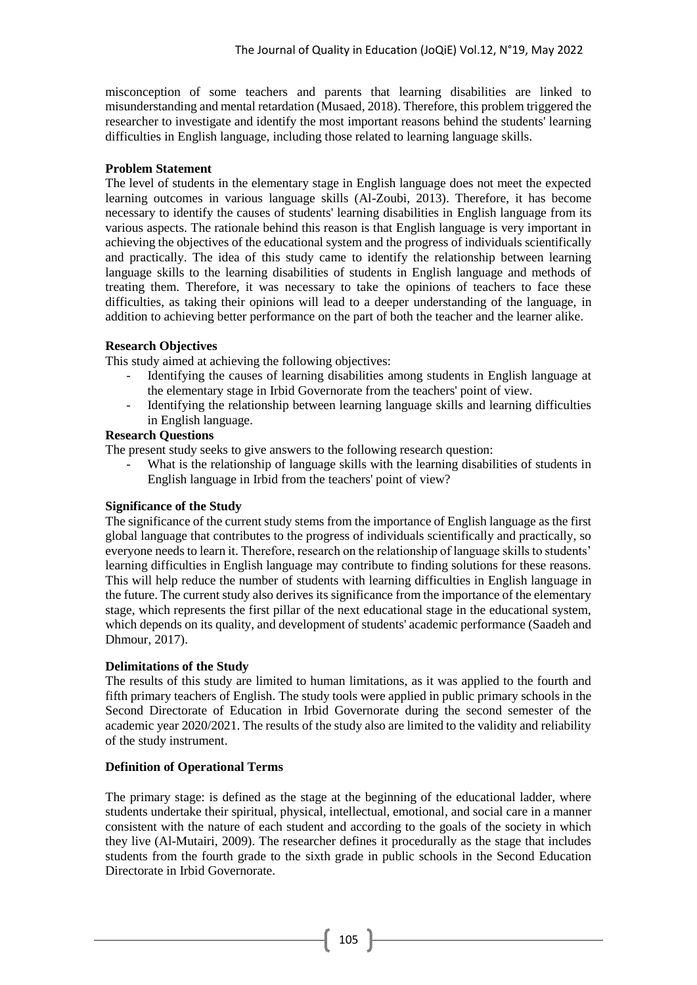misconception of some teachers and parents that learning disabilities are linked to misunderstanding and mental retardation (Musaed, 2018). Therefore, this problem triggered the researcher to investigate and identify the most important reasons behind the students' learning difficulties in English language, including those related to learning language skills.

#### **Problem Statement**

The level of students in the elementary stage in English language does not meet the expected learning outcomes in various language skills (Al-Zoubi, 2013). Therefore, it has become necessary to identify the causes of students' learning disabilities in English language from its various aspects. The rationale behind this reason is that English language is very important in achieving the objectives of the educational system and the progress of individuals scientifically and practically. The idea of this study came to identify the relationship between learning language skills to the learning disabilities of students in English language and methods of treating them. Therefore, it was necessary to take the opinions of teachers to face these difficulties, as taking their opinions will lead to a deeper understanding of the language, in addition to achieving better performance on the part of both the teacher and the learner alike.

### **Research Objectives**

This study aimed at achieving the following objectives:

- Identifying the causes of learning disabilities among students in English language at the elementary stage in Irbid Governorate from the teachers' point of view.
- Identifying the relationship between learning language skills and learning difficulties in English language.

## **Research Questions**

The present study seeks to give answers to the following research question:

What is the relationship of language skills with the learning disabilities of students in English language in Irbid from the teachers' point of view?

## **Significance of the Study**

The significance of the current study stems from the importance of English language as the first global language that contributes to the progress of individuals scientifically and practically, so everyone needs to learn it. Therefore, research on the relationship of language skills to students' learning difficulties in English language may contribute to finding solutions for these reasons. This will help reduce the number of students with learning difficulties in English language in the future. The current study also derives its significance from the importance of the elementary stage, which represents the first pillar of the next educational stage in the educational system, which depends on its quality, and development of students' academic performance (Saadeh and Dhmour, 2017).

## **Delimitations of the Study**

The results of this study are limited to human limitations, as it was applied to the fourth and fifth primary teachers of English. The study tools were applied in public primary schools in the Second Directorate of Education in Irbid Governorate during the second semester of the academic year 2020/2021. The results of the study also are limited to the validity and reliability of the study instrument.

## **Definition of Operational Terms**

The primary stage: is defined as the stage at the beginning of the educational ladder, where students undertake their spiritual, physical, intellectual, emotional, and social care in a manner consistent with the nature of each student and according to the goals of the society in which they live (Al-Mutairi, 2009). The researcher defines it procedurally as the stage that includes students from the fourth grade to the sixth grade in public schools in the Second Education Directorate in Irbid Governorate.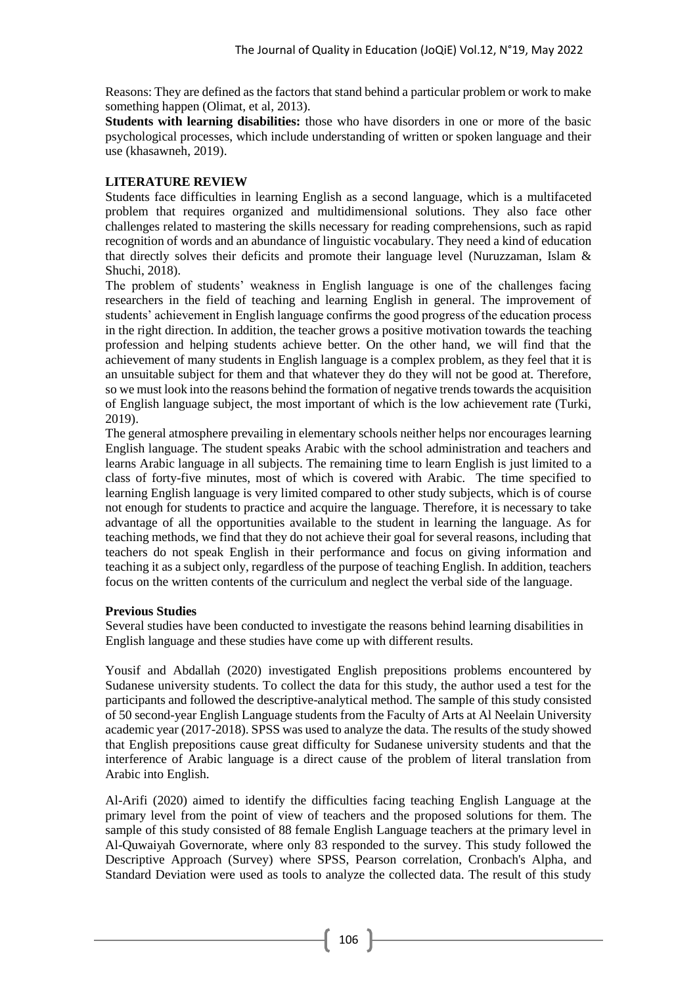Reasons: They are defined as the factors that stand behind a particular problem or work to make something happen (Olimat, et al, 2013).

**Students with learning disabilities:** those who have disorders in one or more of the basic psychological processes, which include understanding of written or spoken language and their use (khasawneh, 2019).

### **LITERATURE REVIEW**

Students face difficulties in learning English as a second language, which is a multifaceted problem that requires organized and multidimensional solutions. They also face other challenges related to mastering the skills necessary for reading comprehensions, such as rapid recognition of words and an abundance of linguistic vocabulary. They need a kind of education that directly solves their deficits and promote their language level (Nuruzzaman, Islam & Shuchi, 2018).

The problem of students' weakness in English language is one of the challenges facing researchers in the field of teaching and learning English in general. The improvement of students' achievement in English language confirms the good progress of the education process in the right direction. In addition, the teacher grows a positive motivation towards the teaching profession and helping students achieve better. On the other hand, we will find that the achievement of many students in English language is a complex problem, as they feel that it is an unsuitable subject for them and that whatever they do they will not be good at. Therefore, so we must look into the reasons behind the formation of negative trends towards the acquisition of English language subject, the most important of which is the low achievement rate (Turki, 2019).

The general atmosphere prevailing in elementary schools neither helps nor encourages learning English language. The student speaks Arabic with the school administration and teachers and learns Arabic language in all subjects. The remaining time to learn English is just limited to a class of forty-five minutes, most of which is covered with Arabic. The time specified to learning English language is very limited compared to other study subjects, which is of course not enough for students to practice and acquire the language. Therefore, it is necessary to take advantage of all the opportunities available to the student in learning the language. As for teaching methods, we find that they do not achieve their goal for several reasons, including that teachers do not speak English in their performance and focus on giving information and teaching it as a subject only, regardless of the purpose of teaching English. In addition, teachers focus on the written contents of the curriculum and neglect the verbal side of the language.

#### **Previous Studies**

Several studies have been conducted to investigate the reasons behind learning disabilities in English language and these studies have come up with different results.

Yousif and Abdallah (2020) investigated English prepositions problems encountered by Sudanese university students. To collect the data for this study, the author used a test for the participants and followed the descriptive-analytical method. The sample of this study consisted of 50 second-year English Language students from the Faculty of Arts at Al Neelain University academic year (2017-2018). SPSS was used to analyze the data. The results of the study showed that English prepositions cause great difficulty for Sudanese university students and that the interference of Arabic language is a direct cause of the problem of literal translation from Arabic into English.

Al-Arifi (2020) aimed to identify the difficulties facing teaching English Language at the primary level from the point of view of teachers and the proposed solutions for them. The sample of this study consisted of 88 female English Language teachers at the primary level in Al-Quwaiyah Governorate, where only 83 responded to the survey. This study followed the Descriptive Approach (Survey) where SPSS, Pearson correlation, Cronbach's Alpha, and Standard Deviation were used as tools to analyze the collected data. The result of this study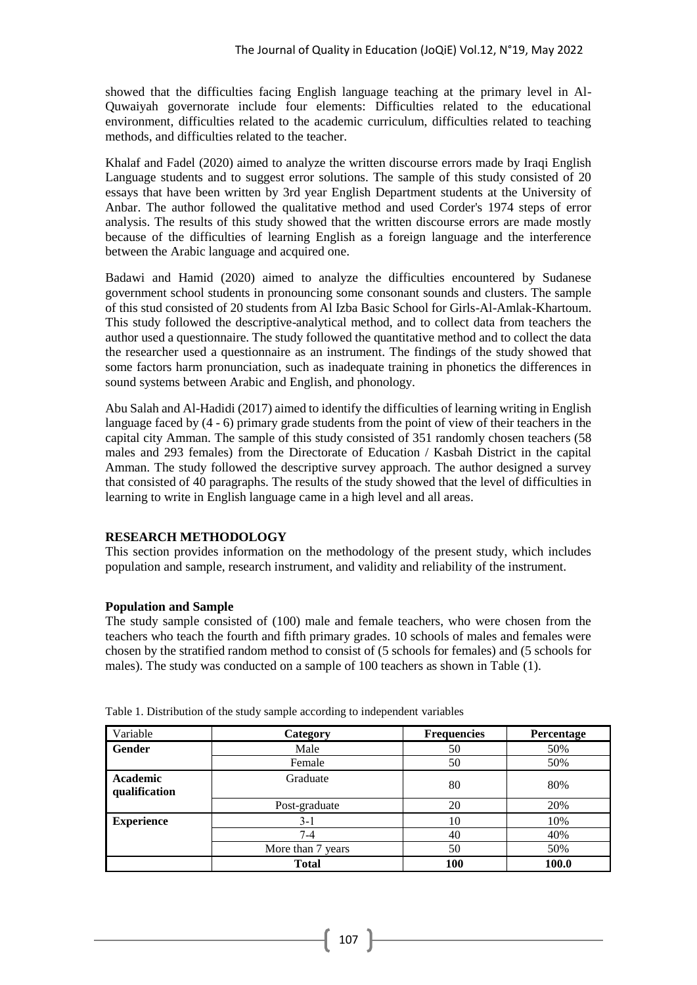showed that the difficulties facing English language teaching at the primary level in Al-Quwaiyah governorate include four elements: Difficulties related to the educational environment, difficulties related to the academic curriculum, difficulties related to teaching methods, and difficulties related to the teacher.

Khalaf and Fadel (2020) aimed to analyze the written discourse errors made by Iraqi English Language students and to suggest error solutions. The sample of this study consisted of 20 essays that have been written by 3rd year English Department students at the University of Anbar. The author followed the qualitative method and used Corder's 1974 steps of error analysis. The results of this study showed that the written discourse errors are made mostly because of the difficulties of learning English as a foreign language and the interference between the Arabic language and acquired one.

Badawi and Hamid (2020) aimed to analyze the difficulties encountered by Sudanese government school students in pronouncing some consonant sounds and clusters. The sample of this stud consisted of 20 students from Al Izba Basic School for Girls-Al-Amlak-Khartoum. This study followed the descriptive-analytical method, and to collect data from teachers the author used a questionnaire. The study followed the quantitative method and to collect the data the researcher used a questionnaire as an instrument. The findings of the study showed that some factors harm pronunciation, such as inadequate training in phonetics the differences in sound systems between Arabic and English, and phonology.

Abu Salah and Al-Hadidi (2017) aimed to identify the difficulties of learning writing in English language faced by (4 - 6) primary grade students from the point of view of their teachers in the capital city Amman. The sample of this study consisted of 351 randomly chosen teachers (58 males and 293 females) from the Directorate of Education / Kasbah District in the capital Amman. The study followed the descriptive survey approach. The author designed a survey that consisted of 40 paragraphs. The results of the study showed that the level of difficulties in learning to write in English language came in a high level and all areas.

## **RESEARCH METHODOLOGY**

This section provides information on the methodology of the present study, which includes population and sample, research instrument, and validity and reliability of the instrument.

#### **Population and Sample**

The study sample consisted of (100) male and female teachers, who were chosen from the teachers who teach the fourth and fifth primary grades. 10 schools of males and females were chosen by the stratified random method to consist of (5 schools for females) and (5 schools for males). The study was conducted on a sample of 100 teachers as shown in Table (1).

| Variable                  | Category          | <b>Frequencies</b> | Percentage |
|---------------------------|-------------------|--------------------|------------|
| Gender                    | Male              | 50                 | 50%        |
|                           | Female            | 50                 | 50%        |
| Academic<br>qualification | Graduate          | 80                 | 80%        |
|                           | Post-graduate     | 20                 | 20%        |
| <b>Experience</b>         | $3-1$             | 10                 | 10%        |
|                           | $7 - 4$           | 40                 | 40%        |
|                           | More than 7 years | 50                 | 50%        |
|                           | <b>Total</b>      | 100                | 100.0      |

Table 1. Distribution of the study sample according to independent variables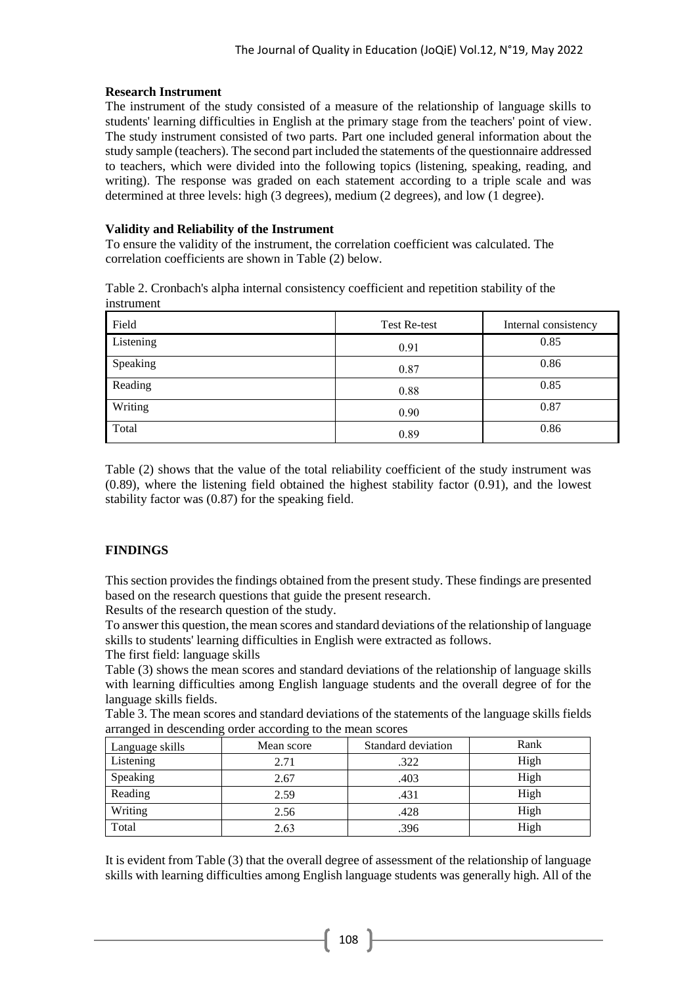### **Research Instrument**

The instrument of the study consisted of a measure of the relationship of language skills to students' learning difficulties in English at the primary stage from the teachers' point of view. The study instrument consisted of two parts. Part one included general information about the study sample (teachers). The second part included the statements of the questionnaire addressed to teachers, which were divided into the following topics (listening, speaking, reading, and writing). The response was graded on each statement according to a triple scale and was determined at three levels: high (3 degrees), medium (2 degrees), and low (1 degree).

### **Validity and Reliability of the Instrument**

To ensure the validity of the instrument, the correlation coefficient was calculated. The correlation coefficients are shown in Table (2) below.

Table 2. Cronbach's alpha internal consistency coefficient and repetition stability of the instrument

| Field     | Test Re-test | Internal consistency |
|-----------|--------------|----------------------|
| Listening | 0.91         | 0.85                 |
| Speaking  | 0.87         | 0.86                 |
| Reading   | 0.88         | 0.85                 |
| Writing   | 0.90         | 0.87                 |
| Total     | 0.89         | 0.86                 |

Table (2) shows that the value of the total reliability coefficient of the study instrument was (0.89), where the listening field obtained the highest stability factor (0.91), and the lowest stability factor was (0.87) for the speaking field.

## **FINDINGS**

This section provides the findings obtained from the present study. These findings are presented based on the research questions that guide the present research.

Results of the research question of the study.

To answer this question, the mean scores and standard deviations of the relationship of language skills to students' learning difficulties in English were extracted as follows.

The first field: language skills

Table (3) shows the mean scores and standard deviations of the relationship of language skills with learning difficulties among English language students and the overall degree of for the language skills fields.

Table 3. The mean scores and standard deviations of the statements of the language skills fields arranged in descending order according to the mean scores

| Language skills | Mean score | Standard deviation | Rank |
|-----------------|------------|--------------------|------|
| Listening       | 2.71       | .322               | High |
| Speaking        | 2.67       | .403               | High |
| Reading         | 2.59       | .431               | High |
| Writing         | 2.56       | .428               | High |
| Total           | 2.63       | .396               | High |

It is evident from Table (3) that the overall degree of assessment of the relationship of language skills with learning difficulties among English language students was generally high. All of the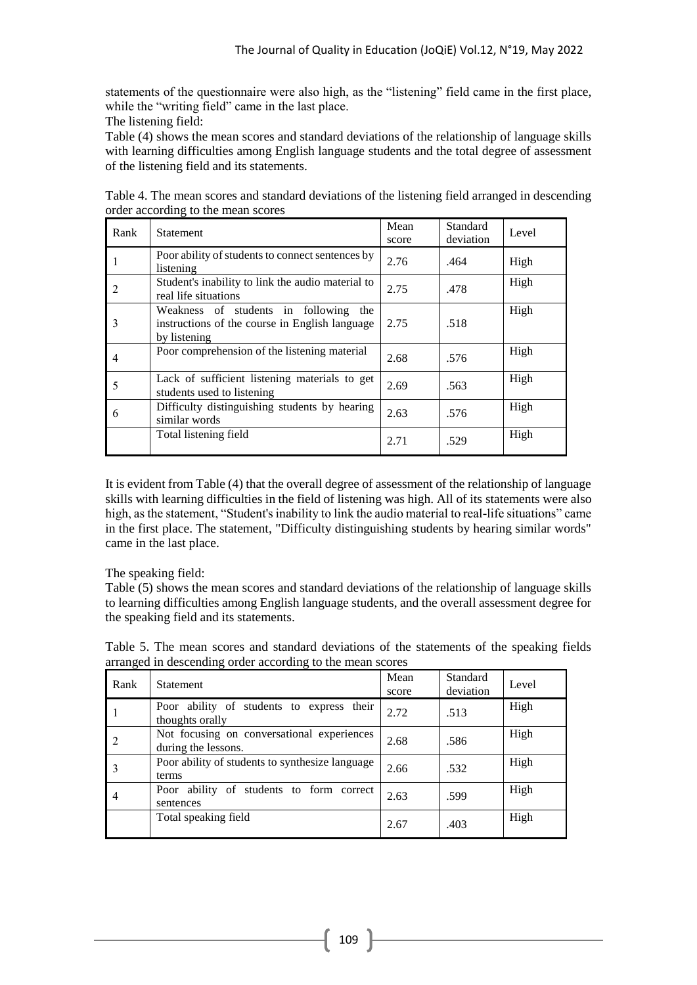statements of the questionnaire were also high, as the "listening" field came in the first place, while the "writing field" came in the last place.

The listening field:

Table (4) shows the mean scores and standard deviations of the relationship of language skills with learning difficulties among English language students and the total degree of assessment of the listening field and its statements.

| Rank           | <b>Statement</b>                                                                                           | Mean<br>score | Standard<br>deviation | Level |
|----------------|------------------------------------------------------------------------------------------------------------|---------------|-----------------------|-------|
|                | Poor ability of students to connect sentences by<br>listening                                              | 2.76          | .464                  | High  |
| 2              | Student's inability to link the audio material to<br>real life situations                                  | 2.75          | .478                  | High  |
| 3              | Weakness of students in following<br>the<br>instructions of the course in English language<br>by listening | 2.75          | .518                  | High  |
| $\overline{4}$ | Poor comprehension of the listening material                                                               | 2.68          | .576                  | High  |
| 5              | Lack of sufficient listening materials to get<br>students used to listening                                | 2.69          | .563                  | High  |
| 6              | Difficulty distinguishing students by hearing<br>similar words                                             | 2.63          | .576                  | High  |
|                | Total listening field                                                                                      | 2.71          | .529                  | High  |

Table 4. The mean scores and standard deviations of the listening field arranged in descending order according to the mean scores

It is evident from Table (4) that the overall degree of assessment of the relationship of language skills with learning difficulties in the field of listening was high. All of its statements were also high, as the statement, "Student's inability to link the audio material to real-life situations" came in the first place. The statement, "Difficulty distinguishing students by hearing similar words" came in the last place.

## The speaking field:

Table (5) shows the mean scores and standard deviations of the relationship of language skills to learning difficulties among English language students, and the overall assessment degree for the speaking field and its statements.

| Table 5. The mean scores and standard deviations of the statements of the speaking fields |  |
|-------------------------------------------------------------------------------------------|--|
| arranged in descending order according to the mean scores                                 |  |

| Rank           | <b>Statement</b>                                                  | Mean<br>score | Standard<br>deviation | Level |
|----------------|-------------------------------------------------------------------|---------------|-----------------------|-------|
|                | Poor ability of students to express their<br>thoughts orally      | 2.72          | .513                  | High  |
|                | Not focusing on conversational experiences<br>during the lessons. | 2.68          | .586                  | High  |
|                | Poor ability of students to synthesize language<br>terms          | 2.66          | .532                  | High  |
| $\overline{4}$ | Poor ability of students to form correct<br>sentences             | 2.63          | .599                  | High  |
|                | Total speaking field                                              | 2.67          | .403                  | High  |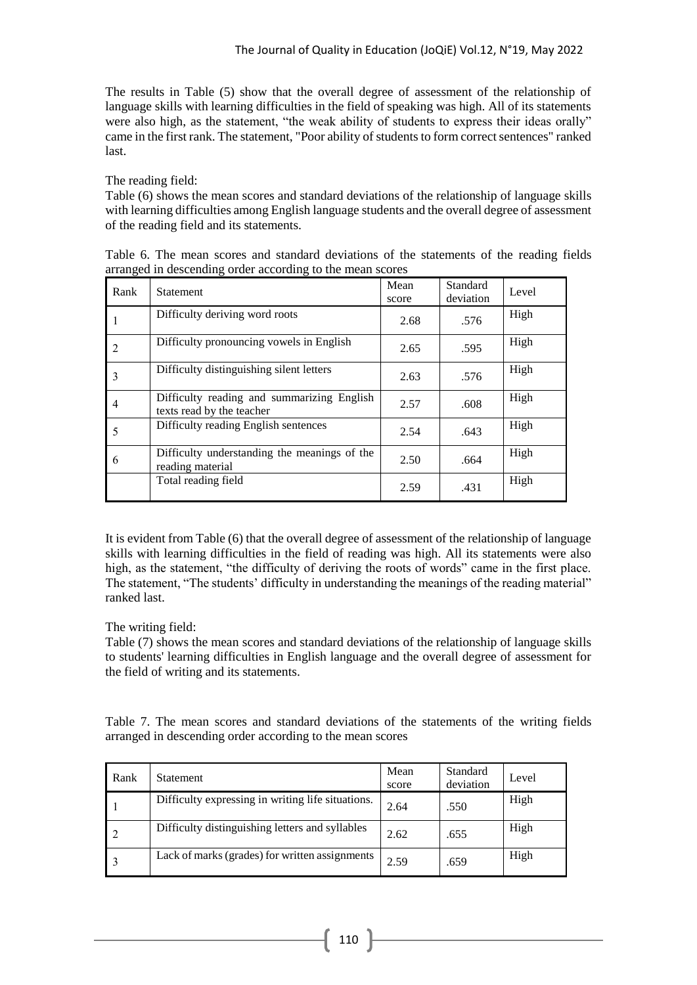The results in Table (5) show that the overall degree of assessment of the relationship of language skills with learning difficulties in the field of speaking was high. All of its statements were also high, as the statement, "the weak ability of students to express their ideas orally" came in the first rank. The statement, "Poor ability of students to form correct sentences" ranked last.

The reading field:

Table (6) shows the mean scores and standard deviations of the relationship of language skills with learning difficulties among English language students and the overall degree of assessment of the reading field and its statements.

| Rank           | <b>Statement</b>                                                        | Mean<br>score | Standard<br>deviation | Level |
|----------------|-------------------------------------------------------------------------|---------------|-----------------------|-------|
|                | Difficulty deriving word roots                                          | 2.68          | .576                  | High  |
| 2              | Difficulty pronouncing vowels in English                                | 2.65          | .595                  | High  |
| 3              | Difficulty distinguishing silent letters                                | 2.63          | .576                  | High  |
| $\overline{4}$ | Difficulty reading and summarizing English<br>texts read by the teacher | 2.57          | .608                  | High  |
| 5              | Difficulty reading English sentences                                    | 2.54          | .643                  | High  |
| 6              | Difficulty understanding the meanings of the<br>reading material        | 2.50          | .664                  | High  |
|                | Total reading field                                                     | 2.59          | .431                  | High  |

Table 6. The mean scores and standard deviations of the statements of the reading fields arranged in descending order according to the mean scores

It is evident from Table (6) that the overall degree of assessment of the relationship of language skills with learning difficulties in the field of reading was high. All its statements were also high, as the statement, "the difficulty of deriving the roots of words" came in the first place. The statement, "The students' difficulty in understanding the meanings of the reading material" ranked last.

## The writing field:

Table (7) shows the mean scores and standard deviations of the relationship of language skills to students' learning difficulties in English language and the overall degree of assessment for the field of writing and its statements.

Table 7. The mean scores and standard deviations of the statements of the writing fields arranged in descending order according to the mean scores

| Rank | <b>Statement</b>                                  | Mean<br>score | Standard<br>deviation | Level |
|------|---------------------------------------------------|---------------|-----------------------|-------|
|      | Difficulty expressing in writing life situations. | 2.64          | .550                  | High  |
|      | Difficulty distinguishing letters and syllables   | 2.62          | .655                  | High  |
|      | Lack of marks (grades) for written assignments    | 2.59          | .659                  | High  |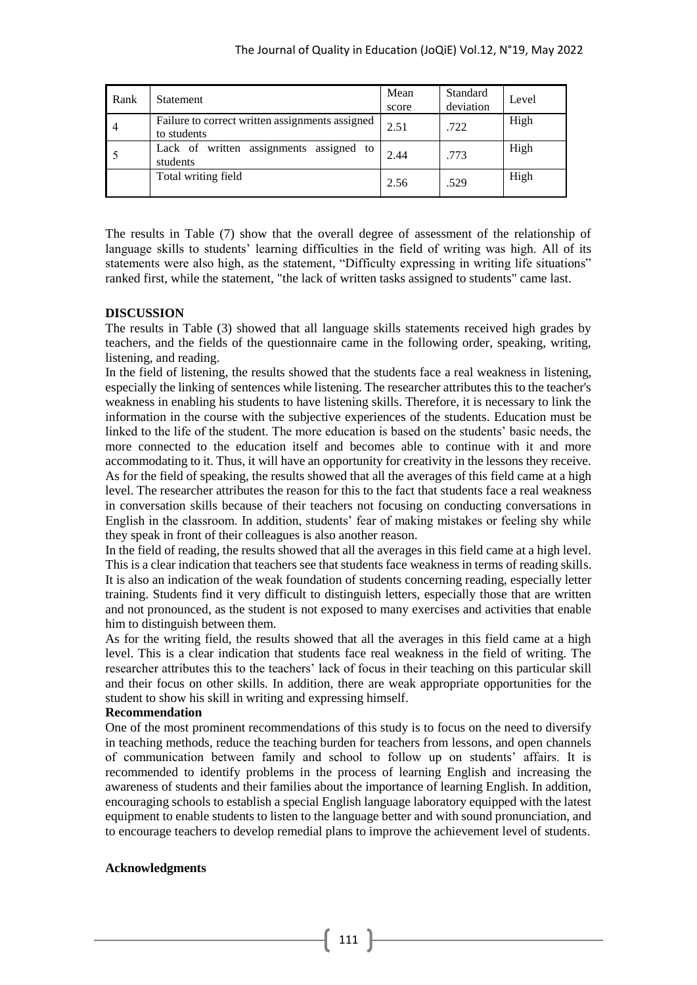| Rank           | Statement                                                      | Mean<br>score | Standard<br>deviation | Level |
|----------------|----------------------------------------------------------------|---------------|-----------------------|-------|
| $\overline{4}$ | Failure to correct written assignments assigned<br>to students | 2.51          | .722                  | High  |
|                | Lack of written assignments assigned to<br>students            | 2.44          | .773                  | High  |
|                | Total writing field                                            | 2.56          | .529                  | High  |

The results in Table (7) show that the overall degree of assessment of the relationship of language skills to students' learning difficulties in the field of writing was high. All of its statements were also high, as the statement, "Difficulty expressing in writing life situations" ranked first, while the statement, "the lack of written tasks assigned to students" came last.

### **DISCUSSION**

The results in Table (3) showed that all language skills statements received high grades by teachers, and the fields of the questionnaire came in the following order, speaking, writing, listening, and reading.

In the field of listening, the results showed that the students face a real weakness in listening, especially the linking of sentences while listening. The researcher attributes this to the teacher's weakness in enabling his students to have listening skills. Therefore, it is necessary to link the information in the course with the subjective experiences of the students. Education must be linked to the life of the student. The more education is based on the students' basic needs, the more connected to the education itself and becomes able to continue with it and more accommodating to it. Thus, it will have an opportunity for creativity in the lessons they receive. As for the field of speaking, the results showed that all the averages of this field came at a high level. The researcher attributes the reason for this to the fact that students face a real weakness in conversation skills because of their teachers not focusing on conducting conversations in English in the classroom. In addition, students' fear of making mistakes or feeling shy while they speak in front of their colleagues is also another reason.

In the field of reading, the results showed that all the averages in this field came at a high level. This is a clear indication that teachers see that students face weakness in terms of reading skills. It is also an indication of the weak foundation of students concerning reading, especially letter training. Students find it very difficult to distinguish letters, especially those that are written and not pronounced, as the student is not exposed to many exercises and activities that enable him to distinguish between them.

As for the writing field, the results showed that all the averages in this field came at a high level. This is a clear indication that students face real weakness in the field of writing. The researcher attributes this to the teachers' lack of focus in their teaching on this particular skill and their focus on other skills. In addition, there are weak appropriate opportunities for the student to show his skill in writing and expressing himself.

#### **Recommendation**

One of the most prominent recommendations of this study is to focus on the need to diversify in teaching methods, reduce the teaching burden for teachers from lessons, and open channels of communication between family and school to follow up on students' affairs. It is recommended to identify problems in the process of learning English and increasing the awareness of students and their families about the importance of learning English. In addition, encouraging schools to establish a special English language laboratory equipped with the latest equipment to enable students to listen to the language better and with sound pronunciation, and to encourage teachers to develop remedial plans to improve the achievement level of students.

#### **Acknowledgments**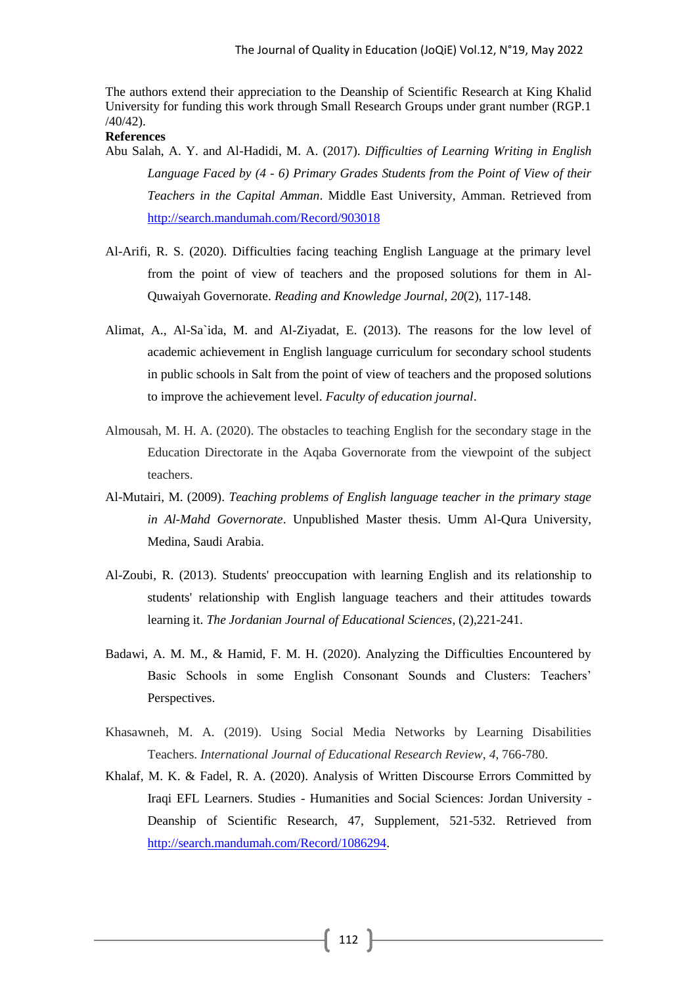The authors extend their appreciation to the Deanship of Scientific Research at King Khalid University for funding this work through Small Research Groups under grant number (RGP.1 /40/42).

#### **References**

- Abu Salah, A. Y. and Al-Hadidi, M. A. (2017). *Difficulties of Learning Writing in English Language Faced by (4 - 6) Primary Grades Students from the Point of View of their Teachers in the Capital Amman*. Middle East University, Amman. Retrieved from <http://search.mandumah.com/Record/903018>
- Al-Arifi, R. S. (2020). Difficulties facing teaching English Language at the primary level from the point of view of teachers and the proposed solutions for them in Al-Quwaiyah Governorate. *Reading and Knowledge Journal, 20*(2), 117-148.
- Alimat, A., Al-Sa`ida, M. and Al-Ziyadat, E. (2013). The reasons for the low level of academic achievement in English language curriculum for secondary school students in public schools in Salt from the point of view of teachers and the proposed solutions to improve the achievement level. *Faculty of education journal*.
- Almousah, M. H. A. (2020). The obstacles to teaching English for the secondary stage in the Education Directorate in the Aqaba Governorate from the viewpoint of the subject teachers.
- Al-Mutairi, M. (2009). *Teaching problems of English language teacher in the primary stage in Al-Mahd Governorate*. Unpublished Master thesis. Umm Al-Qura University, Medina, Saudi Arabia.
- Al-Zoubi, R. (2013). Students' preoccupation with learning English and its relationship to students' relationship with English language teachers and their attitudes towards learning it. *The Jordanian Journal of Educational Sciences*, (2),221-241.
- Badawi, A. M. M., & Hamid, F. M. H. (2020). Analyzing the Difficulties Encountered by Basic Schools in some English Consonant Sounds and Clusters: Teachers' Perspectives.
- Khasawneh, M. A. (2019). Using Social Media Networks by Learning Disabilities Teachers. *International Journal of Educational Research Review*, *4*, 766-780.
- Khalaf, M. K. & Fadel, R. A. (2020). Analysis of Written Discourse Errors Committed by Iraqi EFL Learners. Studies - Humanities and Social Sciences: Jordan University - Deanship of Scientific Research, 47, Supplement, 521-532. Retrieved from [http://search.mandumah.com/Record/1086294.](http://search.mandumah.com/Record/1086294)